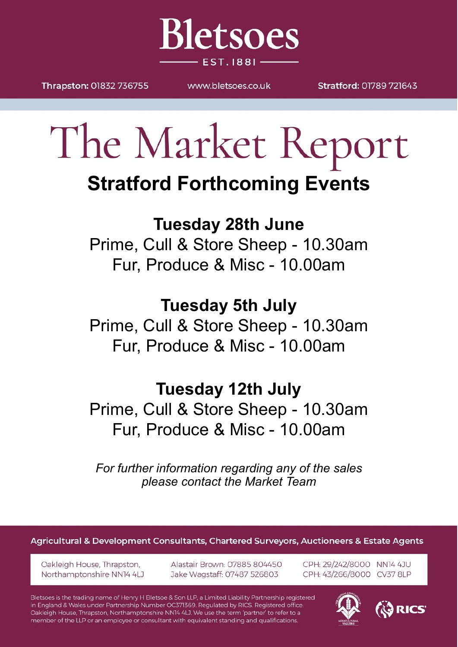

Thrapston: 01832 736755

www.bletsoes.co.uk

Stratford: 01789 721643

# The Market Report **Stratford Forthcoming Events**

## **Tuesday 28th June**

Prime, Cull & Store Sheep - 10.30am Fur, Produce & Misc - 10.00am

## **Tuesday 5th July**

Prime, Cull & Store Sheep - 10.30am Fur, Produce & Misc - 10.00am

## **Tuesday 12th July**

Prime, Cull & Store Sheep - 10.30am Fur, Produce & Misc - 10.00am

*For further information regarding any of the sales please contact the Market Team*

Agricultural & Development Consultants, Chartered Surveyors, Auctioneers & Estate Agents

Oakleigh House, Thrapston, Northamptonshire NN14 4LJ Alastair Brown: 07885 804450 Jake Wagstaff: 07487 526803

CPH: 29/242/8000 NN14 4JU CPH: 43/266/8000 CV37 8LP

Bletsoes is the trading name of Henry H Bletsoe & Son LLP, a Limited Liability Partnership registered in England & Wales under Partnership Number OC371369. Regulated by RICS. Registered office: Oakleigh House, Thrapston, Northamptonshire NN14 4LJ. We use the term 'partner' to refer to a member of the LLP or an employee or consultant with equivalent standing and qualifications.

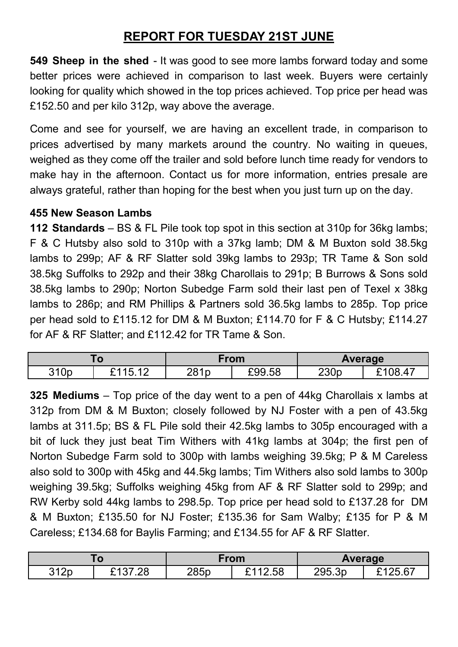#### **REPORT FOR TUESDAY 21ST JUNE**

**549 Sheep in the shed** - It was good to see more lambs forward today and some better prices were achieved in comparison to last week. Buyers were certainly looking for quality which showed in the top prices achieved. Top price per head was £152.50 and per kilo 312p, way above the average.

Come and see for yourself, we are having an excellent trade, in comparison to prices advertised by many markets around the country. No waiting in queues, weighed as they come off the trailer and sold before lunch time ready for vendors to make hay in the afternoon. Contact us for more information, entries presale are always grateful, rather than hoping for the best when you just turn up on the day.

#### **455 New Season Lambs**

**112 Standards** – BS & FL Pile took top spot in this section at 310p for 36kg lambs; F & C Hutsby also sold to 310p with a 37kg lamb; DM & M Buxton sold 38.5kg lambs to 299p; AF & RF Slatter sold 39kg lambs to 293p; TR Tame & Son sold 38.5kg Suffolks to 292p and their 38kg Charollais to 291p; B Burrows & Sons sold 38.5kg lambs to 290p; Norton Subedge Farm sold their last pen of Texel x 38kg lambs to 286p; and RM Phillips & Partners sold 36.5kg lambs to 285p. Top price per head sold to £115.12 for DM & M Buxton; £114.70 for F & C Hutsby; £114.27 for AF & RF Slatter; and £112.42 for TR Tame & Son.

| . v  |            | From |        | <b>Average</b> |         |
|------|------------|------|--------|----------------|---------|
| 310p | ৲ ⊿<br>.4F | 281p | £99.58 | 230p           | 08<br>൧ |

**325 Mediums** – Top price of the day went to a pen of 44kg Charollais x lambs at 312p from DM & M Buxton; closely followed by NJ Foster with a pen of 43.5kg lambs at 311.5p; BS & FL Pile sold their 42.5kg lambs to 305p encouraged with a bit of luck they just beat Tim Withers with 41kg lambs at 304p; the first pen of Norton Subedge Farm sold to 300p with lambs weighing 39.5kg; P & M Careless also sold to 300p with 45kg and 44.5kg lambs; Tim Withers also sold lambs to 300p weighing 39.5kg; Suffolks weighing 45kg from AF & RF Slatter sold to 299p; and RW Kerby sold 44kg lambs to 298.5p. Top price per head sold to £137.28 for DM & M Buxton; £135.50 for NJ Foster; £135.36 for Sam Walby; £135 for P & M Careless; £134.68 for Baylis Farming; and £134.55 for AF & RF Slatter.

| . v                          |                     | <b>rom</b> |                            | Average |   |
|------------------------------|---------------------|------------|----------------------------|---------|---|
| 240 <sub>n</sub><br>⊥∠L<br>ັ | $\sim$<br>◝◢<br>ے . | 285p       | $\sim$ $\sim$<br>2.58<br>- | 295.3p  | . |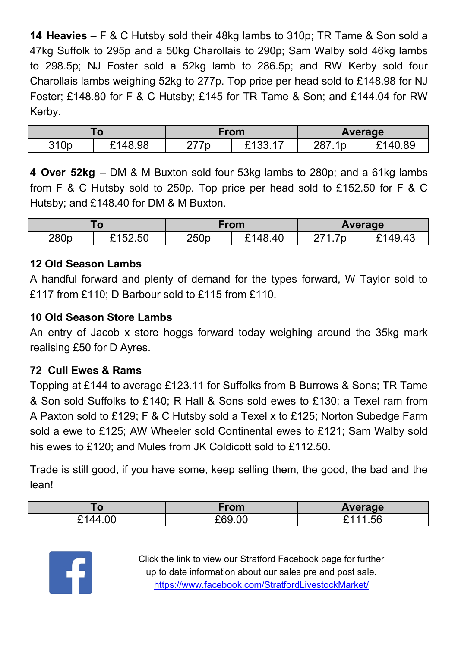**14 Heavies** – F & C Hutsby sold their 48kg lambs to 310p; TR Tame & Son sold a 47kg Suffolk to 295p and a 50kg Charollais to 290p; Sam Walby sold 46kg lambs to 298.5p; NJ Foster sold a 52kg lamb to 286.5p; and RW Kerby sold four Charollais lambs weighing 52kg to 277p. Top price per head sold to £148.98 for NJ Foster; £148.80 for F & C Hutsby; £145 for TR Tame & Son; and £144.04 for RW Kerby.

|      |                         | From |               | <b>Average</b> |                   |
|------|-------------------------|------|---------------|----------------|-------------------|
| 310p | .98<br><sup>ເ</sup> 148 | 177p | . 100<br>∣ ບບ | 727<br>287.1p  | 89<br>◠◢<br>`14เ. |

**4 Over 52kg** – DM & M Buxton sold four 53kg lambs to 280p; and a 61kg lambs from F & C Hutsby sold to 250p. Top price per head sold to £152.50 for F & C Hutsby; and £148.40 for DM & M Buxton.

| 1 V  |                      | Trom |        | <b>Average</b> |              |
|------|----------------------|------|--------|----------------|--------------|
| 280p | <b>CAR2</b><br>52.50 | 250p | 148.40 | -<br>へっょ<br>`C | ∣⊿ч<br>49.43 |

#### **12 Old Season Lambs**

A handful forward and plenty of demand for the types forward, W Taylor sold to £117 from £110; D Barbour sold to £115 from £110.

#### **10 Old Season Store Lambs**

An entry of Jacob x store hoggs forward today weighing around the 35kg mark realising £50 for D Ayres.

#### **72 Cull Ewes & Rams**

Topping at £144 to average £123.11 for Suffolks from B Burrows & Sons; TR Tame & Son sold Suffolks to £140; R Hall & Sons sold ewes to £130; a Texel ram from A Paxton sold to £129; F & C Hutsby sold a Texel x to £125; Norton Subedge Farm sold a ewe to £125; AW Wheeler sold Continental ewes to £121; Sam Walby sold his ewes to £120; and Mules from JK Coldicott sold to £112.50.

Trade is still good, if you have some, keep selling them, the good, the bad and the lean!

|                | From                 | <b>Average</b>        |
|----------------|----------------------|-----------------------|
| ` 4<br>.<br>-- | n n n<br>$\sim$<br>◝ | ¬ ⊿<br>nr<br>.טט<br>_ |



Click the link to view our Stratford Facebook page for further up to date information about our sales pre and post sale. <https://www.facebook.com/StratfordLivestockMarket/>